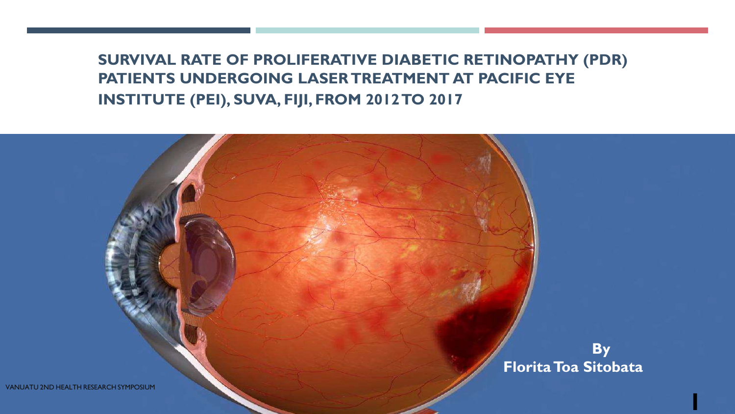**SURVIVAL RATE OF PROLIFERATIVE DIABETIC RETINOPATHY (PDR) PATIENTS UNDERGOING LASER TREATMENT AT PACIFIC EYE INSTITUTE (PEI), SUVA, FIJI, FROM 2012 TO 2017.**

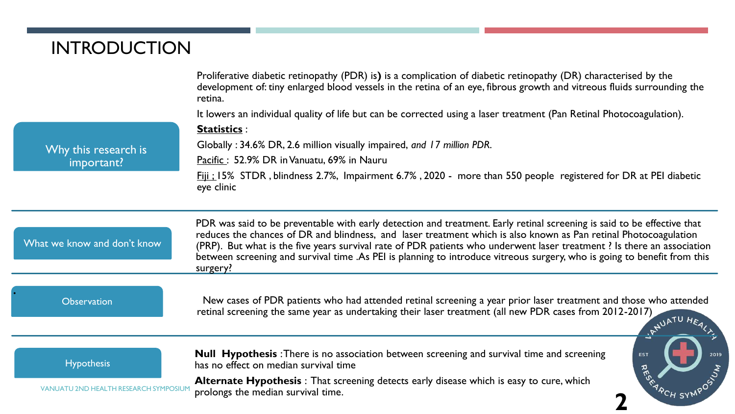# INTRODUCTION

|                                       | Proliferative diabetic retinopathy (PDR) is) is a complication of diabetic retinopathy (DR) characterised by the<br>development of: tiny enlarged blood vessels in the retina of an eye, fibrous growth and vitreous fluids surrounding the<br>retina.<br>It lowers an individual quality of life but can be corrected using a laser treatment (Pan Retinal Photocoagulation).                                                                                                                                |
|---------------------------------------|---------------------------------------------------------------------------------------------------------------------------------------------------------------------------------------------------------------------------------------------------------------------------------------------------------------------------------------------------------------------------------------------------------------------------------------------------------------------------------------------------------------|
| Why this research is<br>important?    | Statistics :                                                                                                                                                                                                                                                                                                                                                                                                                                                                                                  |
|                                       | Globally: 34.6% DR, 2.6 million visually impaired, and 17 million PDR.                                                                                                                                                                                                                                                                                                                                                                                                                                        |
|                                       | Pacific: 52.9% DR in Vanuatu, 69% in Nauru                                                                                                                                                                                                                                                                                                                                                                                                                                                                    |
|                                       | Fiji : 15% STDR, blindness 2.7%, Impairment 6.7%, 2020 - more than 550 people registered for DR at PEI diabetic<br>eye clinic                                                                                                                                                                                                                                                                                                                                                                                 |
| What we know and don't know           | PDR was said to be preventable with early detection and treatment. Early retinal screening is said to be effective that<br>reduces the chances of DR and blindness, and laser treatment which is also known as Pan retinal Photocoagulation<br>(PRP). But what is the five years survival rate of PDR patients who underwent laser treatment? Is there an association<br>between screening and survival time .As PEI is planning to introduce vitreous surgery, who is going to benefit from this<br>surgery? |
| <b>Observation</b>                    | New cases of PDR patients who had attended retinal screening a year prior laser treatment and those who attended<br>retinal screening the same year as undertaking their laser treatment (all new PDR cases from 2012-2017)<br>IRNUATU HEA                                                                                                                                                                                                                                                                    |
| <b>Hypothesis</b>                     | <b>Null Hypothesis</b> : There is no association between screening and survival time and screening<br>2019<br><b>EST</b><br>has no effect on median survival time                                                                                                                                                                                                                                                                                                                                             |
| VANUATU 2ND HEALTH RESEARCH SYMPOSIUI | RESK<br>Alternate Hypothesis: That screening detects early disease which is easy to cure, which<br>prolongs the median survival time.                                                                                                                                                                                                                                                                                                                                                                         |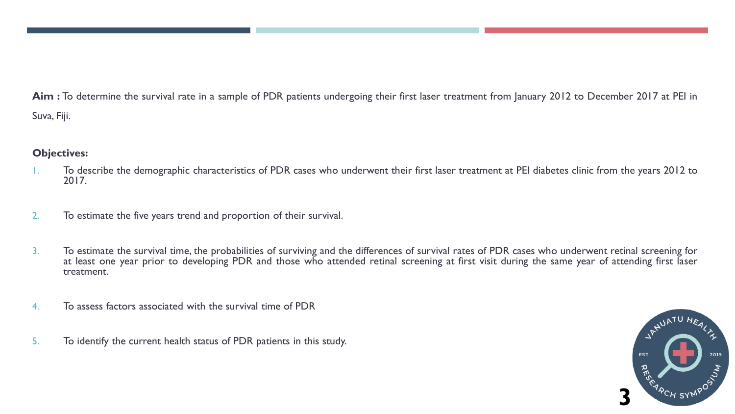**Aim :** To determine the survival rate in a sample of PDR patients undergoing their first laser treatment from January 2012 to December 2017 at PEI in Suva, Fiji.

### **Objectives:**

- 1. To describe the demographic characteristics of PDR cases who underwent their first laser treatment at PEI diabetes clinic from the years 2012 to 2017.
- 2. To estimate the five years trend and proportion of their survival.
- 3. To estimate the survival time, the probabilities of surviving and the differences of survival rates of PDR cases who underwent retinal screening for at least one year prior to developing PDR and those who attended retinal screening at first visit during the same year of attending first laser treatment.
- 4. To assess factors associated with the survival time of PDR
- 5. To identify the current health status of PDR patients in this study.

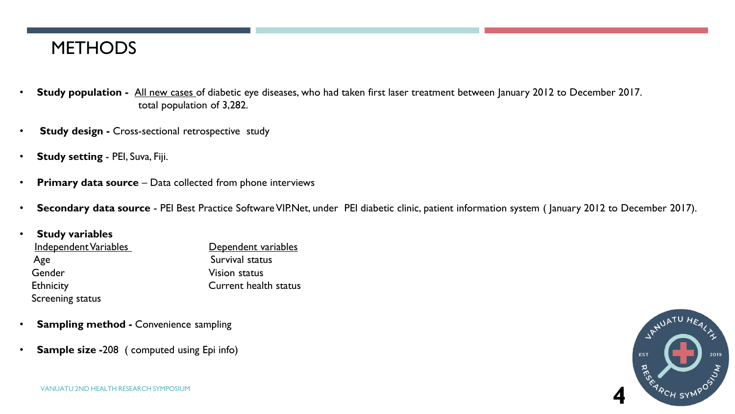# **METHODS**

- **Study population -** All new cases of diabetic eye diseases, who had taken first laser treatment between January 2012 to December 2017. total population of 3,282.
- **Study design -** Cross-sectional retrospective study
- **Study setting** PEI, Suva, Fiji.
- **Primary data source** Data collected from phone interviews
- **Secondary data source** PEI Best Practice SoftwareVIP.Net, under PEI diabetic clinic, patient information system ( January 2012 to December 2017).

### • **Study variables** Independent Variables **Dependent variables** Age Survival status Gender Vision status Ethnicity **Current health status** Screening status

- **Sampling method -** Convenience sampling
- **Sample size -**208 ( computed using Epi info)

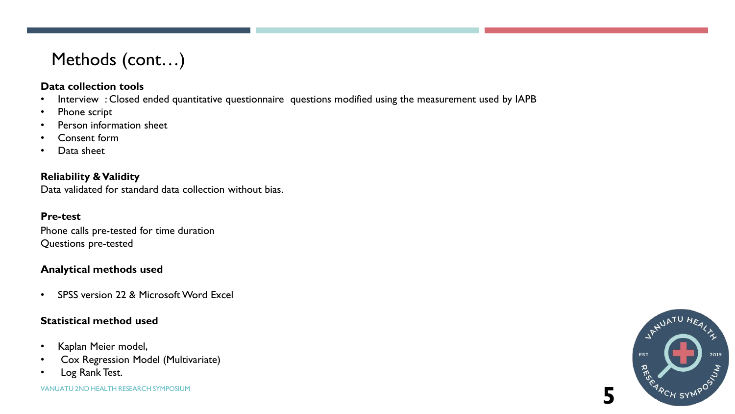# Methods (cont…)

### **Data collection tools**

- Interview : Closed ended quantitative questionnaire questions modified using the measurement used by IAPB
- Phone script
- Person information sheet
- Consent form
- Data sheet

**Reliability &Validity** Data validated for standard data collection without bias.

#### **Pre-test**

Phone calls pre-tested for time duration Questions pre-tested

### **Analytical methods used**

• SPSS version 22 & Microsoft Word Excel

### **Statistical method used**

- Kaplan Meier model,
- Cox Regression Model (Multivariate)
- Log Rank Test.



**5**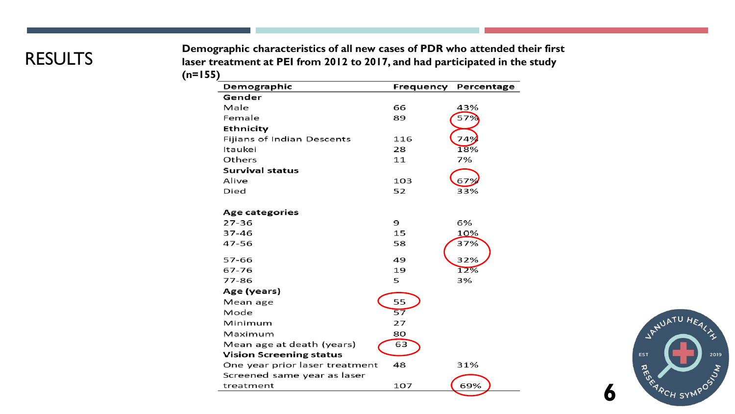# **RESULTS**

**Demographic characteristics of all new cases of PDR who attended their first laser treatment at PEI from 2012 to 2017, and had participated in the study (n=155)**

| Demographic                    | Frequency | Percentage |
|--------------------------------|-----------|------------|
| Gender                         |           |            |
| Male                           | 66        | 43%        |
| Female                         | 89        | 57%        |
| Ethnicity                      |           |            |
| Fijians of Indian Descents     | 116       | 749        |
| Itaukei                        | 28        | 18%        |
| Others                         | 11        | 7%         |
| <b>Survival status</b>         |           |            |
| Alive                          | 103       | 679        |
| Died                           | 52        | 33%        |
| <b>Age categories</b>          |           |            |
| $27 - 36$                      | 9         | 6%         |
| 37-46                          | 15        | 10%        |
| 47-56                          | 58        | 37%        |
| 57-66                          | 49        | 32%        |
| 67-76                          | 19        | 12%        |
| 77-86                          | 5         | 3%         |
| Age (years)                    |           |            |
| Mean age                       | 55        |            |
| Mode                           | 57        |            |
| Minimum                        | 27        |            |
| Maximum                        | 80        |            |
| Mean age at death (years)      | 63        |            |
| <b>Vision Screening status</b> |           |            |
| One year prior laser treatment | 48        | 31%        |
| Screened same year as laser    |           |            |
| treatment                      | 107       | 69%        |



**6**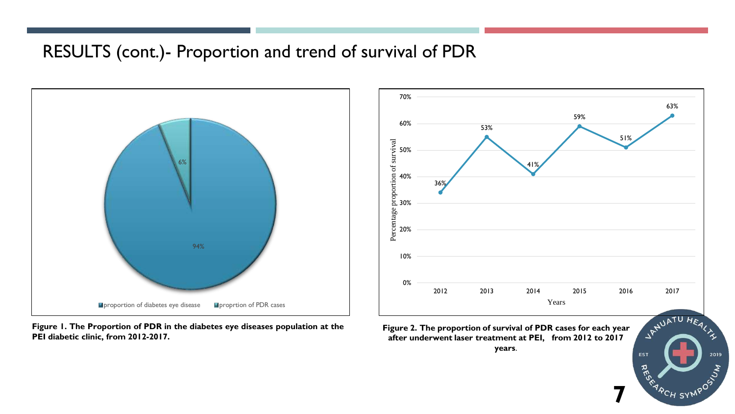# RESULTS (cont.)- Proportion and trend of survival of PDR



**Figure 1. The Proportion of PDR in the diabetes eye diseases population at the PEI diabetic clinic, from 2012-2017.**



2019 **EST RES** OSIVER A <sup>'A</sup>CH SYN

**7**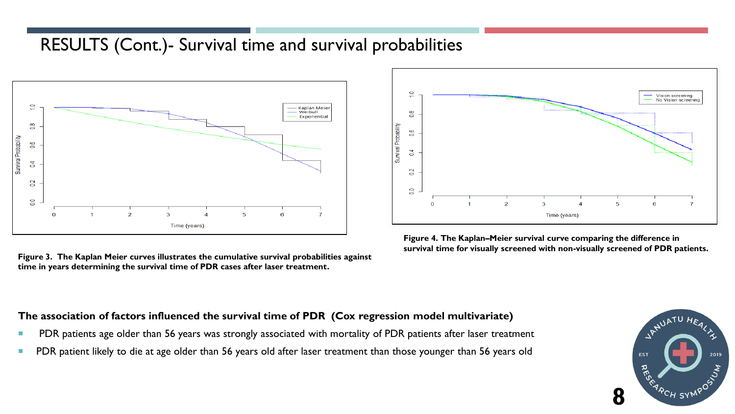# RESULTS (Cont.)- Survival time and survival probabilities



**Figure 3. The Kaplan Meier curves illustrates the cumulative survival probabilities against time in years determining the survival time of PDR cases after laser treatment.** 



**Figure 4. The Kaplan–Meier survival curve comparing the difference in survival time for visually screened with non-visually screened of PDR patients.**

#### **The association of factors influenced the survival time of PDR (Cox regression model multivariate)**

- PDR patients age older than 56 years was strongly associated with mortality of PDR patients after laser treatment
- PDR patient likely to die at age older than 56 years old after laser treatment than those younger than 56 years old

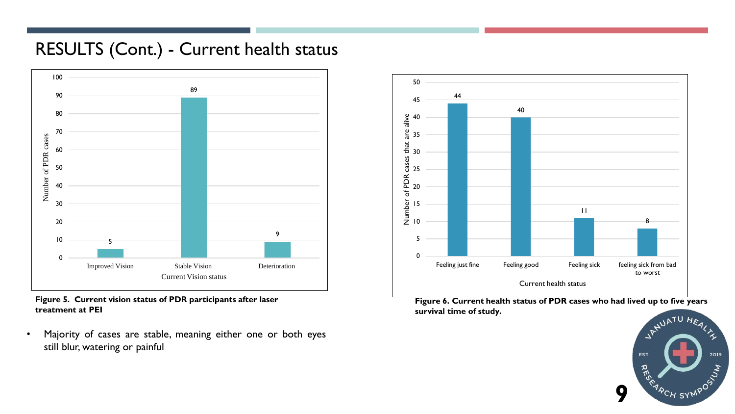# RESULTS (Cont.) - Current health status



#### **Figure 5. Current vision status of PDR participants after laser treatment at PEI**

• Majority of cases are stable, meaning either one or both eyes still blur, watering or painful



**Figure 6. Current health status of PDR cases who had lived up to five years survival time of study.**

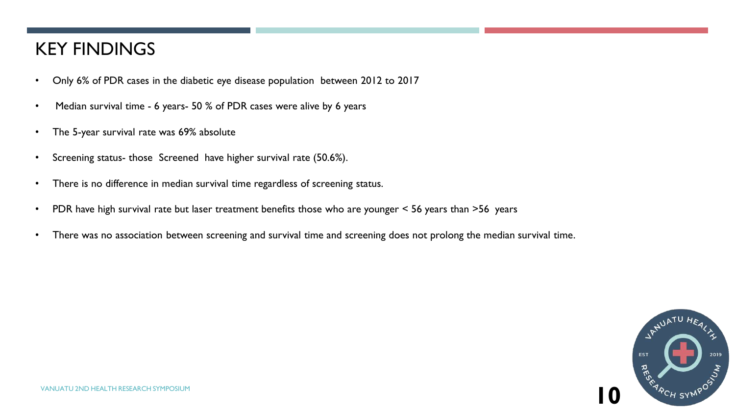# KEY FINDINGS

- Only 6% of PDR cases in the diabetic eye disease population between 2012 to 2017
- Median survival time 6 years- 50 % of PDR cases were alive by 6 years
- The 5-year survival rate was 69% absolute
- Screening status- those Screened have higher survival rate (50.6%).
- There is no difference in median survival time regardless of screening status.
- PDR have high survival rate but laser treatment benefits those who are younger < 56 years than >56 years
- There was no association between screening and survival time and screening does not prolong the median survival time.

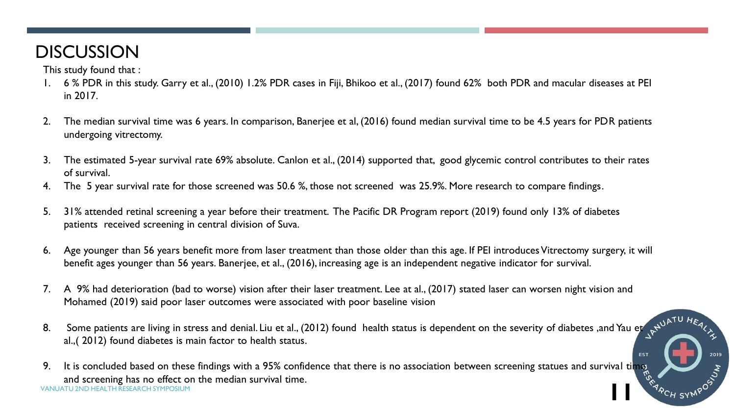# **DISCUSSION**

This study found that :

- I. 6 % PDR in this study. Garry et al., (2010) 1.2% PDR cases in Fiji, Bhikoo et al., (2017) found 62% both PDR and macular diseases at PEI<br>in 2017. in 2017.
	- 2. The median survival time was 6 years. In comparison, Banerjee et al, (2016) found median survival time to be 4.5 years for PDR patients undergoing vitrectomy.
	- 3. The estimated 5-year survival rate 69% absolute. Canlon et al., (2014) supported that, good glycemic control contributes to their rates of survival.
	- 4. The 5 year survival rate for those screened was 50.6 %, those not screened was 25.9%. More research to compare findings.
	- 5. 31% attended retinal screening a year before their treatment. The Pacific DR Program report (2019) found only 13% of diabetes patients received screening in central division of Suva.
	- 6. Age younger than 56 years benefit more from laser treatment than those older than this age. If PEI introduces Vitrectomy surgery, it will benefit ages younger than 56 years. Banerjee, et al., (2016), increasing age is an independent negative indicator for survival.
	- 7. A 9% had deterioration (bad to worse) vision after their laser treatment. Lee at al., (2017) stated laser can worsen night vision and Mohamed (2019) said poor laser outcomes were associated with poor baseline vision
	- 8. Some patients are living in stress and denial. Liu et al., (2012) found health status is dependent on the severity of diabetes ,and Yau et al.,( 2012) found diabetes is main factor to health status.

**EST** 

2019

VANUATU 2ND HEALTH RESEARCH SYMPOSIUM 9. It is concluded based on these findings with a 95% confidence that there is no association between screening statues and survival time and screening has no effect on the median survival time. **11**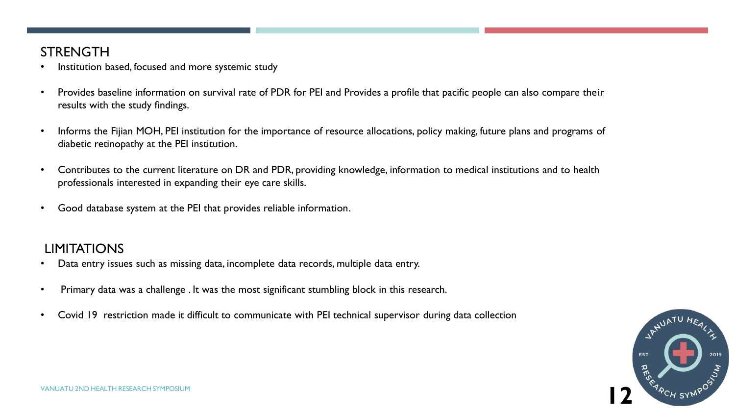### **STRENGTH**

- Institution based, focused and more systemic study
- Provides baseline information on survival rate of PDR for PEI and Provides a profile that pacific people can also compare their results with the study findings.
- Informs the Fijian MOH, PEI institution for the importance of resource allocations, policy making, future plans and programs of diabetic retinopathy at the PEI institution.
- Contributes to the current literature on DR and PDR, providing knowledge, information to medical institutions and to health professionals interested in expanding their eye care skills.
- Good database system at the PEI that provides reliable information.

### LIMITATIONS

- Data entry issues such as missing data, incomplete data records, multiple data entry.
- Primary data was a challenge . It was the most significant stumbling block in this research.
- Covid 19 restriction made it difficult to communicate with PEI technical supervisor during data collection

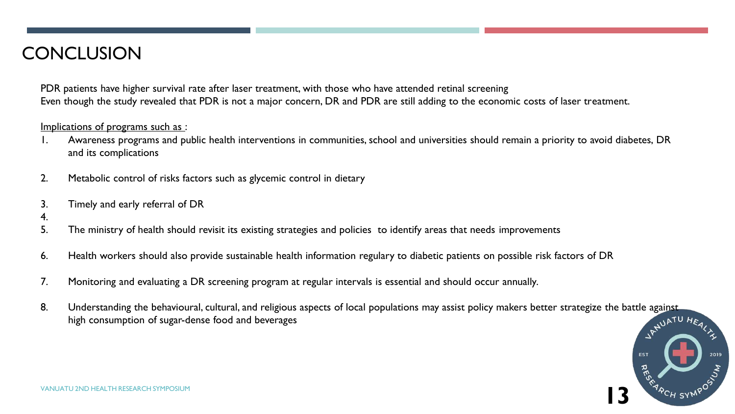# **CONCLUSION**

PDR patients have higher survival rate after laser treatment, with those who have attended retinal screening Even though the study revealed that PDR is not a major concern, DR and PDR are still adding to the economic costs of laser treatment.

#### Implications of programs such as :

- 1. Awareness programs and public health interventions in communities, school and universities should remain a priority to avoid diabetes, DR and its complications
- 2. Metabolic control of risks factors such as glycemic control in dietary
- 3. Timely and early referral of DR
- 4.
- 5. The ministry of health should revisit its existing strategies and policies to identify areas that needs improvements
- 6. Health workers should also provide sustainable health information regulary to diabetic patients on possible risk factors of DR
- 7. Monitoring and evaluating a DR screening program at regular intervals is essential and should occur annually.
- 8. Understanding the behavioural, cultural, and religious aspects of local populations may assist policy makers better strategize the battle against high consumption of sugar-dense food and beverages  $N^{ATU}He$ high consumption of sugar-dense food and beverages

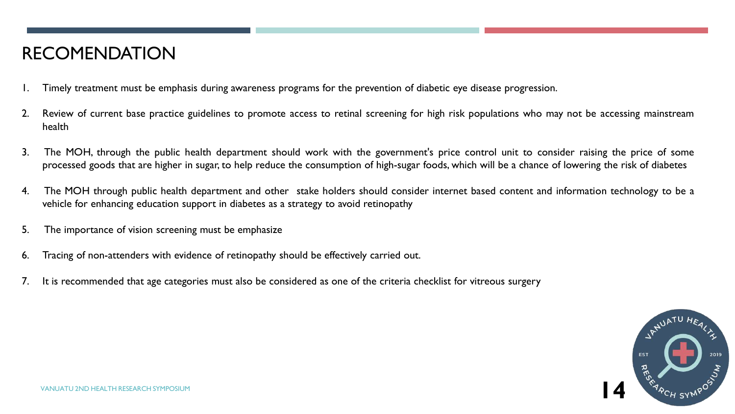# RECOMENDATION

- 1. Timely treatment must be emphasis during awareness programs for the prevention of diabetic eye disease progression.
- 2. Review of current base practice guidelines to promote access to retinal screening for high risk populations who may not be accessing mainstream health
- 3. The MOH, through the public health department should work with the government's price control unit to consider raising the price of some processed goods that are higher in sugar, to help reduce the consumption of high-sugar foods, which will be a chance of lowering the risk of diabetes
- 4. The MOH through public health department and other stake holders should consider internet based content and information technology to be a vehicle for enhancing education support in diabetes as a strategy to avoid retinopathy
- 5. The importance of vision screening must be emphasize
- 6. Tracing of non-attenders with evidence of retinopathy should be effectively carried out.
- 7. It is recommended that age categories must also be considered as one of the criteria checklist for vitreous surgery

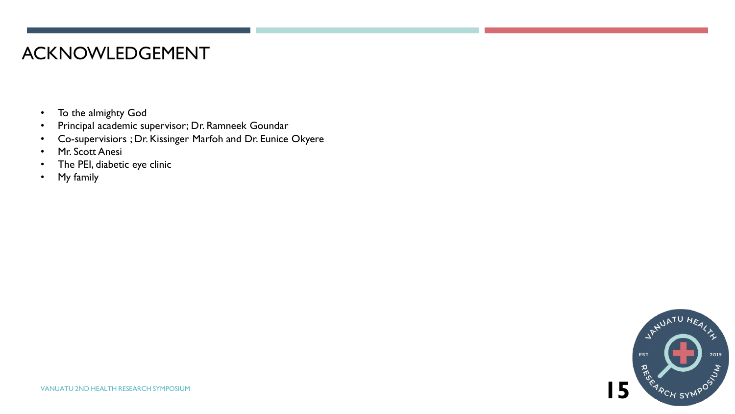## ACKNOWLEDGEMENT

- To the almighty God
- Principal academic supervisor; Dr. Ramneek Goundar
- Co-supervisiors ; Dr. Kissinger Marfoh and Dr. Eunice Okyere
- Mr. Scott Anesi
- The PEI, diabetic eye clinic
- My family